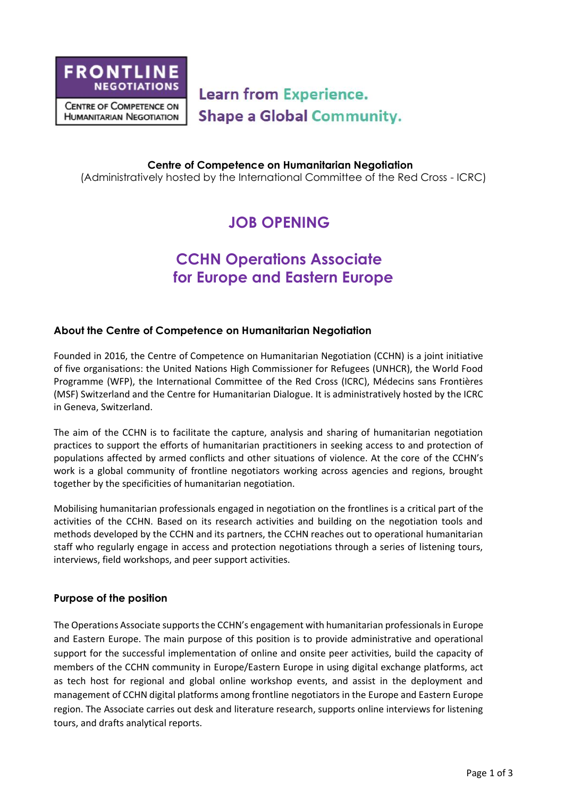

**Learn from Experience. Shape a Global Community.** 

**Centre of Competence on Humanitarian Negotiation** (Administratively hosted by the International Committee of the Red Cross - ICRC)

# **JOB OPENING**

# **CCHN Operations Associate for Europe and Eastern Europe**

## **About the Centre of Competence on Humanitarian Negotiation**

Founded in 2016, the Centre of Competence on Humanitarian Negotiation (CCHN) is a joint initiative of five organisations: the United Nations High Commissioner for Refugees (UNHCR), the World Food Programme (WFP), the International Committee of the Red Cross (ICRC), Médecins sans Frontières (MSF) Switzerland and the Centre for Humanitarian Dialogue. It is administratively hosted by the ICRC in Geneva, Switzerland.

The aim of the CCHN is to facilitate the capture, analysis and sharing of humanitarian negotiation practices to support the efforts of humanitarian practitioners in seeking access to and protection of populations affected by armed conflicts and other situations of violence. At the core of the CCHN's work is a global community of frontline negotiators working across agencies and regions, brought together by the specificities of humanitarian negotiation.

Mobilising humanitarian professionals engaged in negotiation on the frontlines is a critical part of the activities of the CCHN. Based on its research activities and building on the negotiation tools and methods developed by the CCHN and its partners, the CCHN reaches out to operational humanitarian staff who regularly engage in access and protection negotiations through a series of listening tours, interviews, field workshops, and peer support activities.

### **Purpose of the position**

The Operations Associate supports the CCHN's engagement with humanitarian professionals in Europe and Eastern Europe. The main purpose of this position is to provide administrative and operational support for the successful implementation of online and onsite peer activities, build the capacity of members of the CCHN community in Europe/Eastern Europe in using digital exchange platforms, act as tech host for regional and global online workshop events, and assist in the deployment and management of CCHN digital platforms among frontline negotiators in the Europe and Eastern Europe region. The Associate carries out desk and literature research, supports online interviews for listening tours, and drafts analytical reports.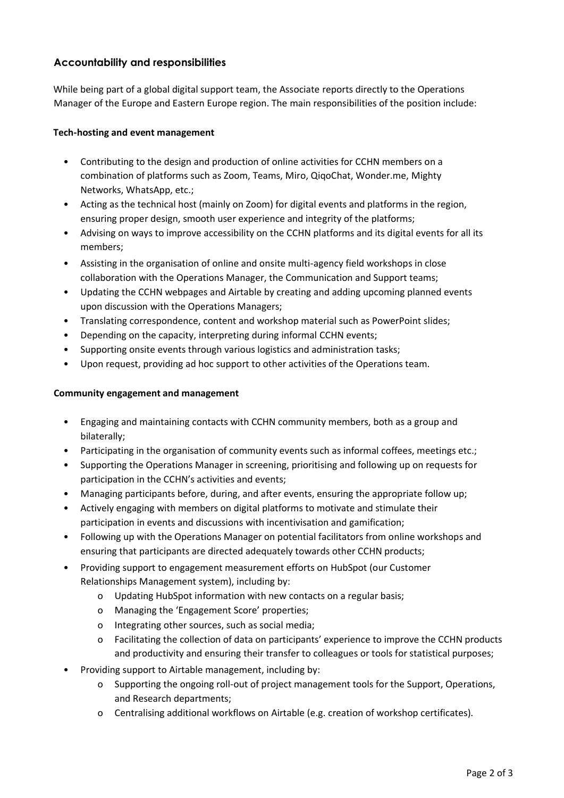## **Accountability and responsibilities**

While being part of a global digital support team, the Associate reports directly to the Operations Manager of the Europe and Eastern Europe region. The main responsibilities of the position include:

### **Tech-hosting and event management**

- Contributing to the design and production of online activities for CCHN members on a combination of platforms such as Zoom, Teams, Miro, QiqoChat, Wonder.me, Mighty Networks, WhatsApp, etc.;
- Acting as the technical host (mainly on Zoom) for digital events and platforms in the region, ensuring proper design, smooth user experience and integrity of the platforms;
- Advising on ways to improve accessibility on the CCHN platforms and its digital events for all its members;
- Assisting in the organisation of online and onsite multi-agency field workshops in close collaboration with the Operations Manager, the Communication and Support teams;
- Updating the CCHN webpages and Airtable by creating and adding upcoming planned events upon discussion with the Operations Managers;
- Translating correspondence, content and workshop material such as PowerPoint slides;
- Depending on the capacity, interpreting during informal CCHN events;
- Supporting onsite events through various logistics and administration tasks;
- Upon request, providing ad hoc support to other activities of the Operations team.

### **Community engagement and management**

- Engaging and maintaining contacts with CCHN community members, both as a group and bilaterally;
- Participating in the organisation of community events such as informal coffees, meetings etc.;
- Supporting the Operations Manager in screening, prioritising and following up on requests for participation in the CCHN's activities and events;
- Managing participants before, during, and after events, ensuring the appropriate follow up;
- Actively engaging with members on digital platforms to motivate and stimulate their participation in events and discussions with incentivisation and gamification;
- Following up with the Operations Manager on potential facilitators from online workshops and ensuring that participants are directed adequately towards other CCHN products;
- Providing support to engagement measurement efforts on HubSpot (our Customer Relationships Management system), including by:
	- o Updating HubSpot information with new contacts on a regular basis;
	- o Managing the 'Engagement Score' properties;
	- o Integrating other sources, such as social media;
	- o Facilitating the collection of data on participants' experience to improve the CCHN products and productivity and ensuring their transfer to colleagues or tools for statistical purposes;
- Providing support to Airtable management, including by:
	- o Supporting the ongoing roll-out of project management tools for the Support, Operations, and Research departments;
	- o Centralising additional workflows on Airtable (e.g. creation of workshop certificates).